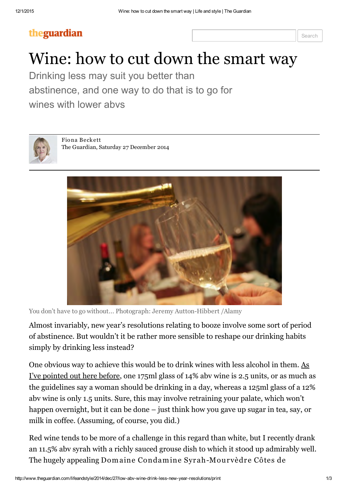### theguardian

# Wine: how to cut down the smart way

Drinking less may suit you better than abstinence, and one way to do that is to go for wines with lower abvs



Fio na [Beck e tt](http://www.theguardian.com/profile/fionabeckett) The [Guardian](http://www.guardian.co.uk/theguardian), Saturday 27 December 2014



You don't have to go without... Photograph: Jeremy Autton-Hibbert /Alamy

Almost invariably, new year's resolutions relating to booze involve some sort of period of abstinence. But wouldn't it be rather more sensible to reshape our drinking habits simply by drinking less instead?

One [obvious](http://www.theguardian.com/lifeandstyle/2012/jan/06/january-drinking-tips) way to achieve this would be to drink wines with less alcohol in them. As I've pointed out here before, one 175ml glass of 14% abv wine is 2.5 units, or as much as the guidelines say a woman should be drinking in a day, whereas a 125ml glass of a 12% abv wine is only 1.5 units. Sure, this may involve retraining your palate, which won't happen overnight, but it can be done – just think how you gave up sugar in tea, say, or milk in coffee. (Assuming, of course, you did.)

Red wine tends to be more of a challenge in this regard than white, but I recently drank an 11.5% abv syrah with a richly sauced grouse dish to which it stood up admirably well. The hugely appealing Dom aine Condamine Syr ah -Mourvèdre Cô tes de